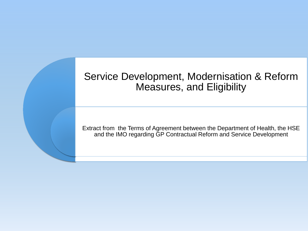## Service Development, Modernisation & Reform Measures, and Eligibility

Extract from the Terms of Agreement between the Department of Health, the HSE and the IMO regarding GP Contractual Reform and Service Development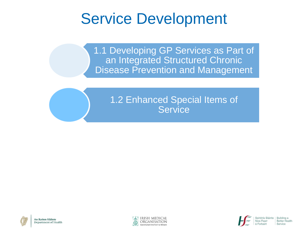# Service Development

1.1 Developing GP Services as Part of an Integrated Structured Chronic **Disease Prevention and Management** 

## 1.2 Enhanced Special Items of **Service**





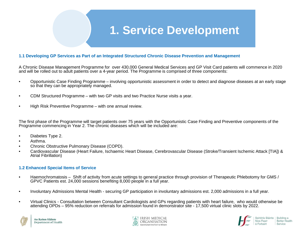## **1. Service Development**

#### **1.1 Developing GP Services as Part of an Integrated Structured Chronic Disease Prevention and Management**

A Chronic Disease Management Programme for over 430,000 General Medical Services and GP Visit Card patients will commence in 2020 and will be rolled out to adult patients over a 4-year period. The Programme is comprised of three components:

- Opportunistic Case Finding Programme involving opportunistic assessment in order to detect and diagnose diseases at an early stage so that they can be appropriately managed.
- CDM Structured Programme with two GP visits and two Practice Nurse visits a year.
- High Risk Preventive Programme with one annual review.

The first phase of the Programme will target patients over 75 years with the Opportunistic Case Finding and Preventive components of the Programme commencing in Year 2. The chronic diseases which will be included are:

- Diabetes Type 2.
- Asthma.
- Chronic Obstructive Pulmonary Disease (COPD).
- Cardiovascular Disease (Heart Failure, Ischaemic Heart Disease, Cerebrovascular Disease (Stroke/Transient Ischemic Attack [TIA]) & Atrial Fibrillation)

#### **1.2 Enhanced Special Items of Service**

- Haemochromatosis Shift of activity from acute settings to general practice through provision of Therapeutic Phlebotomy for GMS / GPVC Patients est. 24,000 sessions benefiting 8,000 people in a full year.
- Involuntary Admissions Mental Health securing GP participation in involuntary admissions est. 2,000 admissions in a full year.
- Virtual Clinics Consultation between Consultant Cardiologists and GPs regarding patients with heart failure, who would otherwise be attending OPDs – 95% reduction on referrals for admission found in demonstrator site - 17,500 virtual clinic slots by 2022.





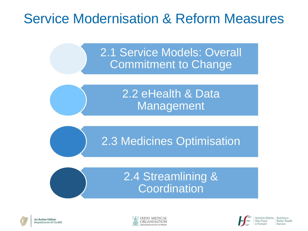# Service Modernisation & Reform Measures

2.1 Service Models: Overall Commitment to Change

> 2.2 eHealth & Data Management

2.3 Medicines Optimisation

## 2.4 Streamlining & **Coordination**





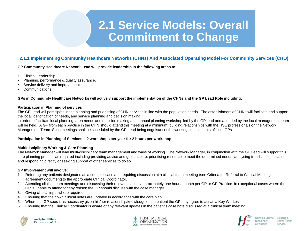### **2.1.1 Implementing Community Healthcare Networks (CHNs) And Associated Operating Model For Community Services (CHO)**

**GP Community Healthcare Network Lead will provide leadership in the following areas to:**

- Clinical Leadership.
- Planning, performance & quality assurance.
- Service delivery and improvement.
- Communications.

#### **GPs in Community Healthcare Networks will actively support the implementation of the CHNs and the GP Lead Role including:**

#### **Participation in Planning of services**

The GP Lead will participate in the planning and prioritising of CHN services in line with the population needs. The establishment of CHNs will facilitate and support the local identification of needs, and service planning and decision making.

In order to facilitate local planning, area needs and decision making a bi-annual planning workshop led by the GP lead and attended by the local management team will be held. A GP from each practice in the CHN should attend this meeting at a minimum, building relationships with the HSE professionals on the Network Management Team. Such meetings shall be scheduled by the GP Lead being cognisant of the working commitments of local GPs.

#### **Participation in Planning of Services - 2 workshops per year for 2 hours per workshop**

#### **Multidisciplinary Working & Care Planning**

The Network Manager will lead multi-disciplinary team management and ways of working. The Network Manager, in conjunction with the GP Lead will support this care planning process as required including providing advice and guidance, re: prioritising resource to meet the determined needs, analysing trends in such cases and responding directly or seeking support of other services to do so.

#### **GP Involvement will involve:**

- 1. Referring any patients designated as a complex case and requiring discussion at a clinical team meeting (see Criteria for Referral to Clinical Meetingagreement document) to the appropriate Clinical Coordinator.
- 2. Attending clinical team meetings and discussing their relevant cases, approximately one hour a month per GP or GP Practice. In exceptional cases where the GP is unable to attend for any reason the GP should discuss with the case manager.
- 3. Giving clinical input where required.
- 4. Ensuring that their own clinical notes are updated in accordance with the care plan.
- 5. Where the GP sees it as necessary given his/her relationship/knowledge of the patient the GP may agree to act as a Key Worker.
- 6. Ensuring that the Clinical Coordinator is aware of any relevant updates in the patient's case note discussed at a clinical team meeting.





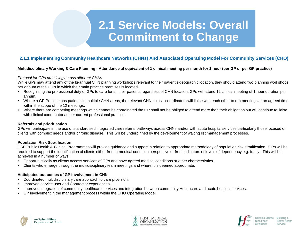### **2.1.1 Implementing Community Healthcare Networks (CHNs) And Associated Operating Model For Community Services (CHO)**

#### **Multidisciplinary Working & Care Planning - Attendance at equivalent of 1 clinical meeting per month for 1 hour (per GP or per GP practice)**

#### *Protocol for GPs practicing across different CHNs*

While GPs may attend any of the bi-annual CHN planning workshops relevant to their patient's geographic location, they should attend two planning workshops per annum of the CHN in which their main practice premises is located.

- Recognising the professional duty of GPs to care for all their patients regardless of CHN location, GPs will attend 12 clinical meeting of 1 hour duration per annum.
- Where a GP Practice has patients in multiple CHN areas, the relevant CHN clinical coordinators will liaise with each other to run meetings at an agreed time within the scope of the 12 meetings.
- Where there are competing meetings which cannot be coordinated the GP shall not be obliged to attend more than their obligation but will continue to liaise with clinical coordinator as per current professional practice.

#### **Referrals and prioritisation**

GPs will participate in the use of standardised integrated care referral pathways across CHNs and/or with acute hospital services particularly those focused on clients with complex needs and/or chronic disease. This will be underpinned by the development of waiting list management processes.

#### **Population Risk Stratification**

HSE Public Health & Clinical Programmes will provide guidance and support in relation to appropriate methodology of population risk stratification. GPs will be required to support the identification of clients either from a medical condition perspective or from indicators of levels of dependency e.g. frailty. This will be achieved in a number of ways:

- Opportunistically as clients access services of GPs and have agreed medical conditions or other characteristics.
- Clients who emerge through the multidisciplinary team meetings and where it is deemed appropriate.

#### **Anticipated out comes of GP involvement in CHN**

- Coordinated multidisciplinary care approach to care provision.
- Improved service user and Contractor experiences.
- Improved integration of community healthcare services and integration between community Healthcare and acute hospital services.
- GP involvement in the management process within the CHO Operating Model.





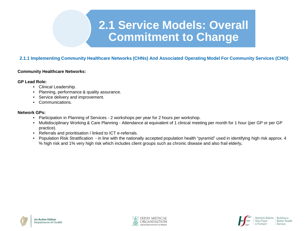### **2.1.1 Implementing Community Healthcare Networks (CHNs) And Associated Operating Model For Community Services (CHO)**

#### **Community Healthcare Networks:**

#### **GP Lead Role:**

- Clinical Leadership.
- Planning, performance & quality assurance.
- Service delivery and improvement.
- Communications.

#### **Network GPs:**

- Participation in Planning of Services 2 workshops per year for 2 hours per workshop.
- Multidisciplinary Working & Care Planning Attendance at equivalent of 1 clinical meeting per month for 1 hour (per GP or per GP practice).
- Referrals and prioritisation / linked to ICT e-referrals.
- Population Risk Stratification in line with the nationally accepted population health "pyramid" used in identifying high risk approx. 4 % high risk and 1% very high risk which includes client groups such as chronic disease and also frail elderly**.**





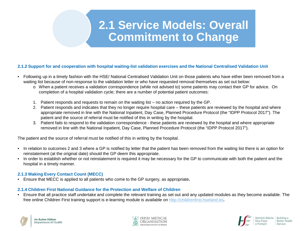#### **2.1.2 Support for and cooperation with hospital waiting-list validation exercises and the National Centralised Validation Unit**

- Following up in a timely fashion with the HSE/ National Centralised Validation Unit on those patients who have either been removed from a waiting list because of non-response to the validation letter or who have requested removal themselves as set out below:
	- o When a patient receives a validation correspondence (while not advised to) some patients may contact their GP for advice. On completion of a hospital validation cycle; there are a number of potential patient outcomes:
	- 1. Patient responds and requests to remain on the waiting list no action required by the GP.
	- 2. Patient responds and indicates that they no longer require hospital care these patients are reviewed by the hospital and where appropriate removed in line with the National Inpatient, Day Case, Planned Procedure Protocol (the "IDPP Protocol 2017"). The patient and the source of referral must be notified of this in writing by the hospital.
	- 3. Patient fails to respond to the validation correspondence these patients are reviewed by the hospital and where appropriate removed in line with the National Inpatient, Day Case, Planned Procedure Protocol (the "IDPP Protocol 2017").

The patient and the source of referral must be notified of this in writing by the hospital.

- In relation to outcomes 2 and 3 where a GP is notified by letter that the patient has been removed from the waiting list there is an option for reinstatement (at the original date) should the GP deem this appropriate.
- In order to establish whether or not reinstatement is required it may be necessary for the GP to communicate with both the patient and the hospital in a timely manner.

### **2.1.3 Making Every Contact Count (MECC)**

• Ensure that MECC is applied to all patients who come to the GP surgery, as appropriate**.**

#### **2.1.4 Children First National Guidance for the Protection and Welfare of Children**

• Ensure that all practice staff undertake and complete the relevant training as set out and any updated modules as they become available. The free online Children First training support is e-learning module is available on<http://childrenfirst.hseland.ie/>**.**





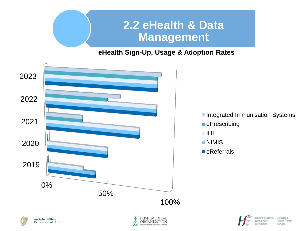

## **eHealth Sign-Up, Usage & Adoption Rates**



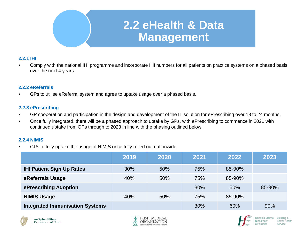

### **2.2.1 IHI**

• Comply with the national IHI programme and incorporate IHI numbers for all patients on practice systems on a phased basis over the next 4 years.

### **2.2.2 eReferrals**

• GPs to utilise eReferral system and agree to uptake usage over a phased basis.

### **2.2.3 ePrescribing**

- GP cooperation and participation in the design and development of the IT solution for ePrescribing over 18 to 24 months.
- Once fully integrated, there will be a phased approach to uptake by GPs, with ePrescribing to commence in 2021 with continued uptake from GPs through to 2023 in line with the phasing outlined below.

### **2.2.4 NIMIS**

• GPs to fully uptake the usage of NIMIS once fully rolled out nationwide.

|                                        | 2019 | 2020 | 2021 | 2022   | 2023   |
|----------------------------------------|------|------|------|--------|--------|
| <b>IHI Patient Sign Up Rates</b>       | 30%  | 50%  | 75%  | 85-90% |        |
| eReferrals Usage                       | 40%  | 50%  | 75%  | 85-90% |        |
| ePrescribing Adoption                  |      |      | 30%  | 50%    | 85-90% |
| <b>NIMIS Usage</b>                     | 40%  | 50%  | 75%  | 85-90% |        |
| <b>Integrated Immunisation Systems</b> |      |      | 30%  | 60%    | 90%    |





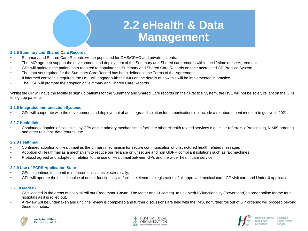# **2.2 eHealth & Data Management**

#### **2.2.5 Summary and Shared Care Records**

- Summary and Shared Care Records will be populated for GMS/GPVC and private patients.
- The IMO agree to support the development and deployment of the Summary and Shared care records within the lifetime of the Agreement.
- GPs will maintain the patient data required to populate the Summary and Shared Care Records on their accredited GP Practice System.
- The data set required for the Summary Care Record has been defined in the Terms of the Agreement.
- If informed consent is required, the HSE will engage with the IMO on the details of how this will be implemented in practice.
- The HSE will promote the adoption of Summary and Shared Care Records.

Whilst the GP will have the facility to sign up patients for the Summary and Shared Care records on their Practice System, the HSE will not be solely reliant on the GPs to sign up patients.

#### **2.2.6 Integrated Immunisation Systems**

• GPs will cooperate with the development and deployment of an integrated solution for immunisations (to include a reimbursement module) to go live in 2021.

#### **2.2.7 Healthlink**

• Continued adoption of Healthlink by GPs as the primary mechanism to facilitate other eHealth related services e.g. IHI, e-referrals, ePrescribing, NIMIS ordering and other relevant data returns, etc.

#### **2.2.8 Healthmail**

- Continued adoption of Healthmail as the primary mechanism for secure communication of unstructured health related messages
- Adoption of Healthmail as a mechanism to reduce our reliance on unsecure and non GDPR compliant solutions such as fax machines
- Protocol agreed and adopted in relation to the use of Healthmail between GPs and the wider health care service.

#### **2.2.9 Use of PCRS Application Suite**

- GPs to continue to submit reimbursement claims electronically.
- GPs will operate the online choice of doctor functionality to facilitate electronic registration of all approved medical card, GP visit card and Under-6 applications.

#### **2.2.10 MedLIS**

- GPs located in the areas of hospital roll out (Beaumont, Cavan, The Mater and St James) to use MedLIS functionality (Powerchart) to order online for the four hospitals as it is rolled out.
- A review will be undertaken and until the review is completed and further discussions are held with the IMO, no further roll out of GP ordering will proceed beyond these four sites.





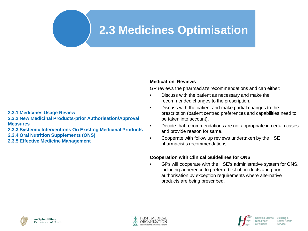# **2.3 Medicines Optimisation**

### **Medication Reviews**

GP reviews the pharmacist's recommendations and can either:

- Discuss with the patient as necessary and make the recommended changes to the prescription.
- Discuss with the patient and make partial changes to the prescription (patient centred preferences and capabilities need to be taken into account).
- Decide that recommendations are not appropriate in certain cases and provide reason for same.
- Cooperate with follow up reviews undertaken by the HSE pharmacist's recommendations.

### **Cooperation with Clinical Guidelines for ONS**

• GPs will cooperate with the HSE's administrative system for ONS, including adherence to preferred list of products and prior authorisation by exception requirements where alternative products are being prescribed.







**2.3.1 Medicines Usage Review**

**2.3.2 New Medicinal Products-prior Authorisation/Approval Measures**

**2.3.3 Systemic Interventions On Existing Medicinal Products**

**2.3.4 Oral Nutrition Supplements (ONS)** 

**2.3.5 Effective Medicine Management**